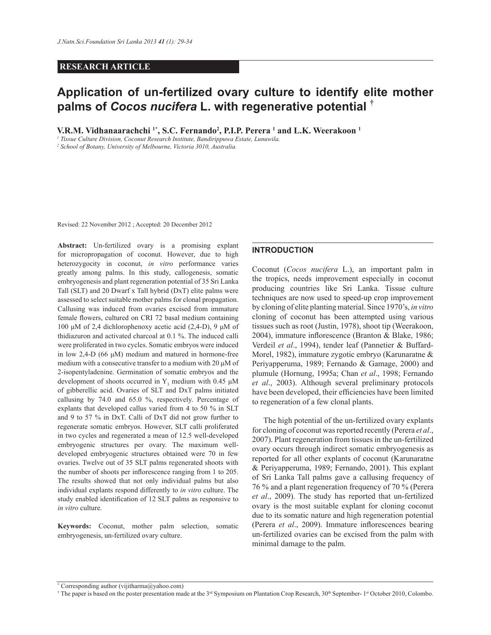# **RESEARCH ARTICLE**

# **Application of un-fertilized ovary culture to identify elite mother palms of** *Cocos nucifera* **L. with regenerative potential †**

**V.R.M. Vidhanaarachchi 1\*, S.C. Fernando<sup>2</sup> , P.I.P. Perera <sup>1</sup> and L.K. Weerakoon <sup>1</sup>**

*1 Tissue Culture Division, Coconut Research Institute, Bandirippuwa Estate, Lunuwila.*

*2 School of Botany, University of Melbourne, Victoria 3010, Australia.*

Revised: 22 November 2012 ; Accepted: 20 December 2012

**Abstract:** Un-fertilized ovary is a promising explant for micropropagation of coconut. However, due to high heterozygocity in coconut, *in vitro* performance varies greatly among palms. In this study, callogenesis, somatic embryogenesis and plant regeneration potential of 35 Sri Lanka Tall (SLT) and 20 Dwarf x Tall hybrid (DxT) elite palms were assessed to select suitable mother palms for clonal propagation. Callusing was induced from ovaries excised from immature female flowers, cultured on CRI 72 basal medium containing 100 μM of 2,4 dichlorophenoxy acetic acid  $(2,4-D)$ , 9 μM of thidiazuron and activated charcoal at 0.1 %. The induced calli were proliferated in two cycles. Somatic embryos were induced in low 2,4-D (66  $\mu$ M) medium and matured in hormone-free medium with a consecutive transfer to a medium with  $20 \mu M$  of 2-isopentyladenine. Germination of somatic embryos and the development of shoots occurred in  $Y_3$  medium with 0.45  $\mu$ M of gibberellic acid. Ovaries of SLT and DxT palms initiated callusing by 74.0 and 65.0 %, respectively. Percentage of explants that developed callus varied from 4 to 50 % in SLT and 9 to 57 % in DxT. Calli of DxT did not grow further to regenerate somatic embryos. However, SLT calli proliferated in two cycles and regenerated a mean of 12.5 well-developed embryogenic structures per ovary. The maximum welldeveloped embryogenic structures obtained were 70 in few ovaries. Twelve out of 35 SLT palms regenerated shoots with the number of shoots per inflorescence ranging from 1 to 205. The results showed that not only individual palms but also individual explants respond differently to *in vitro* culture. The study enabled identification of 12 SLT palms as responsive to *in vitro* culture.

**Keywords:** Coconut, mother palm selection, somatic embryogenesis, un-fertilized ovary culture.

## **INTRODUCTION**

Coconut (*Cocos nucifera* L.), an important palm in the tropics, needs improvement especially in coconut producing countries like Sri Lanka. Tissue culture techniques are now used to speed-up crop improvement by cloning of elite planting material. Since 1970's, *in vitro* cloning of coconut has been attempted using various tissues such as root (Justin, 1978), shoot tip (Weerakoon, 2004), immature inflorescence (Branton & Blake, 1986; Verdeil *et al*., 1994), tender leaf (Pannetier & Buffard-Morel, 1982), immature zygotic embryo (Karunaratne & Periyapperuma, 1989; Fernando & Gamage, 2000) and plumule (Hornung, 1995a; Chan *et al*., 1998; Fernando *et al*., 2003). Although several preliminary protocols have been developed, their efficiencies have been limited to regeneration of a few clonal plants.

 The high potential of the un-fertilized ovary explants for cloning of coconut was reported recently (Perera *et al*., 2007). Plant regeneration from tissues in the un-fertilized ovary occurs through indirect somatic embryogenesis as reported for all other explants of coconut (Karunaratne & Periyapperuma, 1989; Fernando, 2001). This explant of Sri Lanka Tall palms gave a callusing frequency of 76 % and a plant regeneration frequency of 70 % (Perera *et al*., 2009). The study has reported that un-fertilized ovary is the most suitable explant for cloning coconut due to its somatic nature and high regeneration potential (Perera et al., 2009). Immature inflorescences bearing un-fertilized ovaries can be excised from the palm with minimal damage to the palm.

<sup>\*</sup> Corresponding author (vijitharma@yahoo.com)

<sup>&</sup>lt;sup> $\dagger$ </sup> The paper is based on the poster presentation made at the 3<sup>rd</sup> Symposium on Plantation Crop Research, 30<sup>th</sup> September- 1<sup>st</sup> October 2010, Colombo.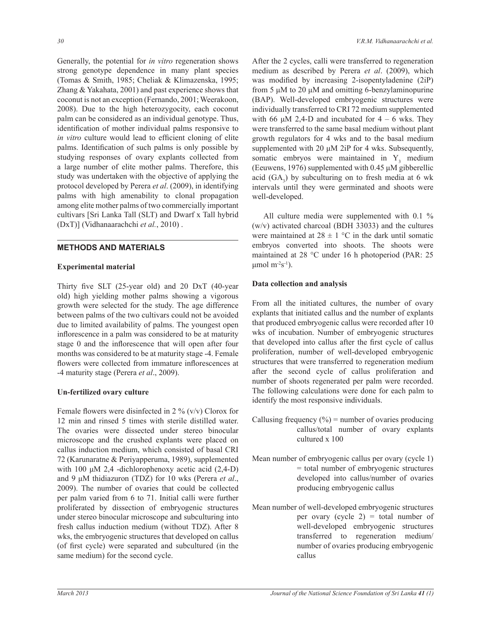Generally, the potential for *in vitro* regeneration shows strong genotype dependence in many plant species (Tomas & Smith, 1985; Cheliak & Klimazenska, 1995; Zhang & Yakahata, 2001) and past experience shows that coconut is not an exception (Fernando, 2001; Weerakoon, 2008). Due to the high heterozygocity, each coconut palm can be considered as an individual genotype. Thus, identification of mother individual palms responsive to *in vitro* culture would lead to efficient cloning of elite palms. Identification of such palms is only possible by studying responses of ovary explants collected from a large number of elite mother palms. Therefore, this study was undertaken with the objective of applying the protocol developed by Perera *et al*. (2009), in identifying palms with high amenability to clonal propagation among elite mother palms of two commercially important cultivars [Sri Lanka Tall (SLT) and Dwarf x Tall hybrid (DxT)] (Vidhanaarachchi *et al.*, 2010) .

# **METHODS AND MATERIALS**

# **Experimental material**

Thirty five SLT (25-year old) and 20 DxT (40-year old) high yielding mother palms showing a vigorous growth were selected for the study. The age difference between palms of the two cultivars could not be avoided due to limited availability of palms. The youngest open inflorescence in a palm was considered to be at maturity stage 0 and the inflorescence that will open after four months was considered to be at maturity stage -4. Female flowers were collected from immature inflorescences at -4 maturity stage (Perera *et al*., 2009).

# **Un-fertilized ovary culture**

Female flowers were disinfected in 2 %  $(v/v)$  Clorox for 12 min and rinsed 5 times with sterile distilled water. The ovaries were dissected under stereo binocular microscope and the crushed explants were placed on callus induction medium, which consisted of basal CRI 72 (Karunaratne & Periyapperuma, 1989), supplemented with 100  $\mu$ M 2,4 -dichlorophenoxy acetic acid (2,4-D) and 9  $\mu$ M thidiazuron (TDZ) for 10 wks (Perera *et al.*, 2009). The number of ovaries that could be collected per palm varied from 6 to 71. Initial calli were further proliferated by dissection of embryogenic structures under stereo binocular microscope and subculturing into fresh callus induction medium (without TDZ). After 8 wks, the embryogenic structures that developed on callus (of first cycle) were separated and subcultured (in the same medium) for the second cycle.

After the 2 cycles, calli were transferred to regeneration medium as described by Perera *et al*. (2009), which was modified by increasing 2-isopentyladenine  $(2iP)$ from 5  $\mu$ M to 20  $\mu$ M and omitting 6-benzylaminopurine (BAP). Well-developed embryogenic structures were individually transferred to CRI 72 medium supplemented with 66  $\mu$ M 2,4-D and incubated for 4 – 6 wks. They were transferred to the same basal medium without plant growth regulators for 4 wks and to the basal medium supplemented with 20  $\mu$ M 2iP for 4 wks. Subsequently, somatic embryos were maintained in  $Y_3$  medium (Eeuwens, 1976) supplemented with 0.45  $\mu$ M gibberellic acid  $(GA_3)$  by subculturing on to fresh media at 6 wk intervals until they were germinated and shoots were well-developed.

 All culture media were supplemented with 0.1 % (w/v) activated charcoal (BDH 33033) and the cultures were maintained at  $28 \pm 1$  °C in the dark until somatic embryos converted into shoots. The shoots were maintained at 28 °C under 16 h photoperiod (PAR: 25  $\mu$ mol m<sup>-2</sup>s<sup>-1</sup>).

# **Data collection and analysis**

From all the initiated cultures, the number of ovary explants that initiated callus and the number of explants that produced embryogenic callus were recorded after 10 wks of incubation. Number of embryogenic structures that developed into callus after the first cycle of callus proliferation, number of well-developed embryogenic structures that were transferred to regeneration medium after the second cycle of callus proliferation and number of shoots regenerated per palm were recorded. The following calculations were done for each palm to identify the most responsive individuals.

- Callusing frequency  $(\% )$  = number of ovaries producing callus/total number of ovary explants cultured x 100
- Mean number of embryogenic callus per ovary (cycle 1)  $=$  total number of embryogenic structures developed into callus/number of ovaries producing embryogenic callus
- Mean number of well-developed embryogenic structures per ovary (cycle 2) = total number of well-developed embryogenic structures transferred to regeneration medium/ number of ovaries producing embryogenic callus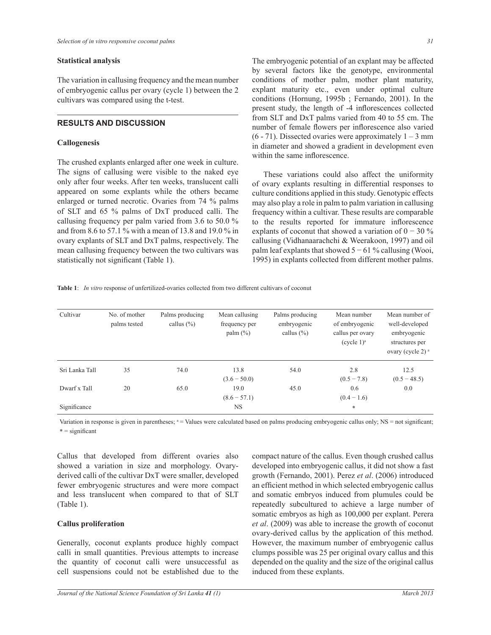## **Statistical analysis**

The variation in callusing frequency and the mean number of embryogenic callus per ovary (cycle 1) between the 2 cultivars was compared using the t-test.

# **RESULTS AND DISCUSSION**

#### **Callogenesis**

The crushed explants enlarged after one week in culture. The signs of callusing were visible to the naked eye only after four weeks. After ten weeks, translucent calli appeared on some explants while the others became enlarged or turned necrotic. Ovaries from 74 % palms of SLT and 65 % palms of DxT produced calli. The callusing frequency per palm varied from 3.6 to 50.0 % and from 8.6 to 57.1 % with a mean of 13.8 and 19.0 % in ovary explants of SLT and DxT palms, respectively. The mean callusing frequency between the two cultivars was statistically not significant (Table 1).

The embryogenic potential of an explant may be affected by several factors like the genotype, environmental conditions of mother palm, mother plant maturity, explant maturity etc., even under optimal culture conditions (Hornung, 1995b ; Fernando, 2001). In the present study, the length of -4 inflorescences collected from SLT and DxT palms varied from 40 to 55 cm. The number of female flowers per inflorescence also varied  $(6 - 71)$ . Dissected ovaries were approximately  $1 - 3$  mm in diameter and showed a gradient in development even within the same inflorescence

 These variations could also affect the uniformity of ovary explants resulting in differential responses to culture conditions applied in this study. Genotypic effects may also play a role in palm to palm variation in callusing frequency within a cultivar. These results are comparable to the results reported for immature inflorescence explants of coconut that showed a variation of  $0 - 30\%$ callusing (Vidhanaarachchi & Weerakoon, 1997) and oil palm leaf explants that showed  $5 - 61$  % callusing (Wooi, 1995) in explants collected from different mother palms.

**Table 1**: *In vitro* response of unfertilized-ovaries collected from two different cultivars of coconut

| Cultivar       | No. of mother<br>palms tested | Palms producing<br>callus $(\% )$ | Mean callusing<br>frequency per<br>palm (%) | Palms producing<br>embryogenic<br>callus $(\% )$ | Mean number<br>of embryogenic<br>callus per ovary<br>(cycle 1) <sup>a</sup> | Mean number of<br>well-developed<br>embryogenic<br>structures per<br>ovary (cycle 2) <sup>a</sup> |
|----------------|-------------------------------|-----------------------------------|---------------------------------------------|--------------------------------------------------|-----------------------------------------------------------------------------|---------------------------------------------------------------------------------------------------|
| Sri Lanka Tall | 35                            | 74.0                              | 13.8                                        | 54.0                                             | 2.8                                                                         | 12.5                                                                                              |
|                |                               |                                   | $(3.6 - 50.0)$                              |                                                  | $(0.5 - 7.8)$                                                               | $(0.5 - 48.5)$                                                                                    |
| Dwarf x Tall   | 20                            | 65.0                              | 19.0                                        | 45.0                                             | 0.6                                                                         | 0.0                                                                                               |
|                |                               |                                   | $(8.6 - 57.1)$                              |                                                  | $(0.4 - 1.6)$                                                               |                                                                                                   |
| Significance   |                               |                                   | <b>NS</b>                                   |                                                  | $\ast$                                                                      |                                                                                                   |

Variation in response is given in parentheses;  $a =$  Values were calculated based on palms producing embryogenic callus only;  $NS =$  not significant;  $* =$  significant

Callus that developed from different ovaries also showed a variation in size and morphology. Ovaryderived calli of the cultivar DxT were smaller, developed fewer embryogenic structures and were more compact and less translucent when compared to that of SLT (Table 1).

#### **Callus proliferation**

Generally, coconut explants produce highly compact calli in small quantities. Previous attempts to increase the quantity of coconut calli were unsuccessful as cell suspensions could not be established due to the compact nature of the callus. Even though crushed callus developed into embryogenic callus, it did not show a fast growth (Fernando, 2001). Perez *et al*. (2006) introduced an efficient method in which selected embryogenic callus and somatic embryos induced from plumules could be repeatedly subcultured to achieve a large number of somatic embryos as high as 100,000 per explant. Perera *et al*. (2009) was able to increase the growth of coconut ovary-derived callus by the application of this method. However, the maximum number of embryogenic callus clumps possible was 25 per original ovary callus and this depended on the quality and the size of the original callus induced from these explants.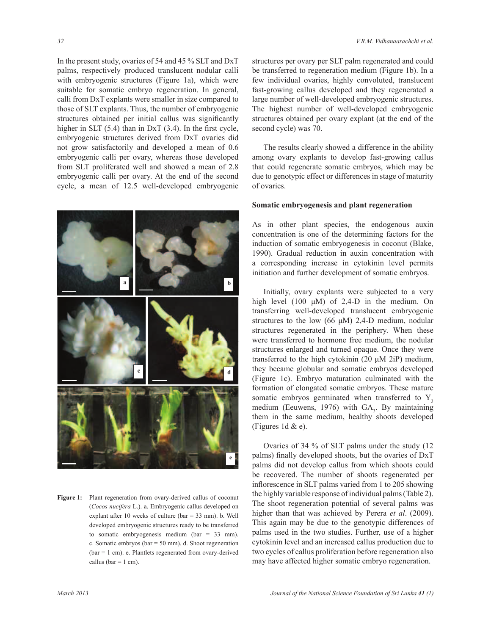In the present study, ovaries of 54 and 45 % SLT and DxT palms, respectively produced translucent nodular calli with embryogenic structures (Figure 1a), which were suitable for somatic embryo regeneration. In general, calli from DxT explants were smaller in size compared to those of SLT explants. Thus, the number of embryogenic structures obtained per initial callus was significantly higher in SLT  $(5.4)$  than in DxT  $(3.4)$ . In the first cycle, embryogenic structures derived from DxT ovaries did not grow satisfactorily and developed a mean of 0.6 embryogenic calli per ovary, whereas those developed from SLT proliferated well and showed a mean of 2.8 embryogenic calli per ovary. At the end of the second cycle, a mean of 12.5 well-developed embryogenic



Figure 1: Plant regeneration from ovary-derived callus of coco **Figure 1:** Plant regeneration from ovary-derived callus of coconut (*Cocos nucifera* L.). a. Embryogenic callus developed on explant after 10 weeks of culture (bar =  $33$  mm). b. Well developed embryogenic structures ready to be transferred to somatic embryogenesis medium (bar =  $33$  mm). c. Somatic embryos (bar =  $50$  mm). d. Shoot regeneration (bar =  $1$  cm). e. Plantlets regenerated from ovary-derived callus (bar =  $1$  cm).

structures per ovary per SLT palm regenerated and could be transferred to regeneration medium (Figure 1b). In a few individual ovaries, highly convoluted, translucent fast-growing callus developed and they regenerated a large number of well-developed embryogenic structures. The highest number of well-developed embryogenic structures obtained per ovary explant (at the end of the second cycle) was 70.

 The results clearly showed a difference in the ability among ovary explants to develop fast-growing callus that could regenerate somatic embryos, which may be due to genotypic effect or differences in stage of maturity of ovaries.

#### **Somatic embryogenesis and plant regeneration**

As in other plant species, the endogenous auxin concentration is one of the determining factors for the induction of somatic embryogenesis in coconut (Blake, 1990). Gradual reduction in auxin concentration with a corresponding increase in cytokinin level permits initiation and further development of somatic embryos.

 Initially, ovary explants were subjected to a very high level (100  $\mu$ M) of 2,4-D in the medium. On transferring well-developed translucent embryogenic structures to the low (66  $\mu$ M) 2,4-D medium, nodular structures regenerated in the periphery. When these were transferred to hormone free medium, the nodular structures enlarged and turned opaque. Once they were transferred to the high cytokinin  $(20 \mu M 2iP)$  medium, they became globular and somatic embryos developed (Figure 1c). Embryo maturation culminated with the formation of elongated somatic embryos. These mature somatic embryos germinated when transferred to  $Y$ , medium (Eeuwens, 1976) with  $GA<sub>3</sub>$ . By maintaining them in the same medium, healthy shoots developed (Figures 1d  $&e$ ).

 Ovaries of 34 % of SLT palms under the study (12 palms) finally developed shoots, but the ovaries of DxT palms did not develop callus from which shoots could be recovered. The number of shoots regenerated per inflorescence in SLT palms varied from 1 to 205 showing the highly variable response of individual palms (Table 2). The shoot regeneration potential of several palms was higher than that was achieved by Perera *et al*. (2009). This again may be due to the genotypic differences of palms used in the two studies. Further, use of a higher cytokinin level and an increased callus production due to two cycles of callus proliferation before regeneration also may have affected higher somatic embryo regeneration.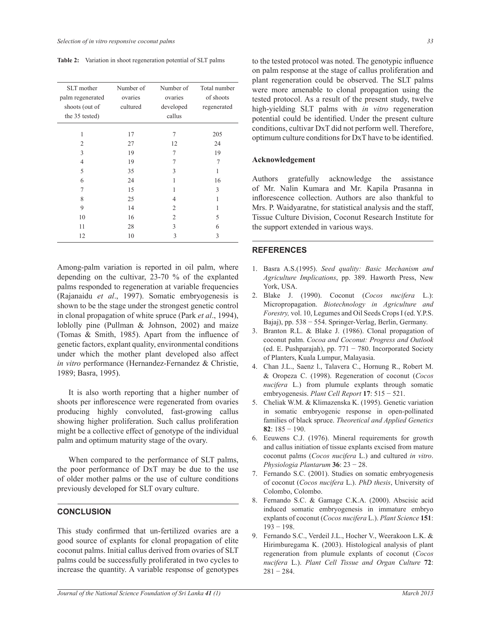| SLT mother<br>palm regenerated<br>shoots (out of<br>the 35 tested) | Number of<br>ovaries<br>cultured | Number of<br>ovaries<br>developed<br>callus | Total number<br>of shoots<br>regenerated |
|--------------------------------------------------------------------|----------------------------------|---------------------------------------------|------------------------------------------|
| 1                                                                  | 17                               | 7                                           | 205                                      |
| $\overline{c}$                                                     | 27                               | 12                                          | 24                                       |
| 3                                                                  | 19                               | 7                                           | 19                                       |
| $\overline{4}$                                                     | 19                               |                                             | 7                                        |
| 5                                                                  | 35                               | 3                                           | 1                                        |
| 6                                                                  | 24                               | 1                                           | 16                                       |
| 7                                                                  | 15                               | 1                                           | 3                                        |
| 8                                                                  | 25                               | 4                                           | 1                                        |
| 9                                                                  | 14                               | $\overline{c}$                              | 1                                        |
| 10                                                                 | 16                               | $\overline{2}$                              | 5                                        |
| 11                                                                 | 28                               | 3                                           | 6                                        |
| 12                                                                 | 10                               | 3                                           | 3                                        |

Among-palm variation is reported in oil palm, where depending on the cultivar, 23-70 % of the explanted palms responded to regeneration at variable frequencies (Rajanaidu *et al*., 1997). Somatic embryogenesis is shown to be the stage under the strongest genetic control in clonal propagation of white spruce (Park *et al*., 1994), loblolly pine (Pullman & Johnson, 2002) and maize (Tomas  $& Smith, 1985$ ). Apart from the influence of genetic factors, explant quality, environmental conditions under which the mother plant developed also affect *in vitro* performance (Hernandez-Fernandez & Christie, 1989; Basra, 1995).

 It is also worth reporting that a higher number of shoots per inflorescence were regenerated from ovaries producing highly convoluted, fast-growing callus showing higher proliferation. Such callus proliferation might be a collective effect of genotype of the individual palm and optimum maturity stage of the ovary.

 When compared to the performance of SLT palms, the poor performance of DxT may be due to the use of older mother palms or the use of culture conditions previously developed for SLT ovary culture.

# **CONCLUSION**

This study confirmed that un-fertilized ovaries are a good source of explants for clonal propagation of elite coconut palms. Initial callus derived from ovaries of SLT palms could be successfully proliferated in two cycles to increase the quantity. A variable response of genotypes

Table 2: Variation in shoot regeneration potential of SLT palms to the tested protocol was noted. The genotypic influence on palm response at the stage of callus proliferation and plant regeneration could be observed. The SLT palms were more amenable to clonal propagation using the tested protocol. As a result of the present study, twelve high-yielding SLT palms with *in vitro* regeneration potential could be identified. Under the present culture conditions, cultivar DxT did not perform well. Therefore, optimum culture conditions for DxT have to be identified.

# **Acknowledgement**

Authors gratefully acknowledge the assistance of Mr. Nalin Kumara and Mr. Kapila Prasanna in inflorescence collection. Authors are also thankful to Mrs. P. Waidyaratne, for statistical analysis and the staff, Tissue Culture Division, Coconut Research Institute for the support extended in various ways.

#### **REFERENCES**

- 1. Basra A.S.(1995). *Seed quality: Basic Mechanism and Agriculture Implications*, pp. 389. Haworth Press, New York, USA.
- 2. Blake J. (1990). Coconut (*Cocos nucifera* L.): Micropropagation. *Biotechnology in Agriculture and Forestry,* vol. 10, Legumes and Oil Seeds Crops I (ed. Y.P.S. Bajaj), pp. 538 - 554. Springer-Verlag, Berlin, Germany.
- 3. Branton R.L. & Blake J. (1986). Clonal propagation of coconut palm. *Cocoa and Coconut: Progress and Outlook* (ed. E. Pushparajah), pp.  $771 - 780$ . Incorporated Society of Planters, Kuala Lumpur, Malayasia.
- 4. Chan J.L., Saenz l., Talavera C., Hornung R., Robert M. & Oropeza C. (1998). Regeneration of coconut (*Cocos nucifera* L.) from plumule explants through somatic embryogenesis. *Plant Cell Report* **17**í
- 5. Cheliak W.M. & Klimazenska K. (1995). Genetic variation in somatic embryogenic response in open-pollinated families of black spruce. *Theoretical and Applied Genetics* **82**:  $185 - 190$ .
- 6. Eeuwens C.J. (1976). Mineral requirements for growth and callus initiation of tissue explants excised from mature coconut palms (*Cocos nucifera* L.) and cultured *in vitro*. *Physiologia Plantarum* **36**í
- 7. Fernando S.C. (2001). Studies on somatic embryogenesis of coconut (*Cocos nucifera* L.). *PhD thesis*, University of Colombo, Colombo.
- 8. Fernando S.C. & Gamage C.K.A. (2000). Abscisic acid induced somatic embryogenesis in immature embryo explants of coconut (*Cocos nucifera* L.). *Plant Science* **151**:  $193 - 198$ .
- 9. Fernando S.C., Verdeil J.L., Hocher V., Weerakoon L.K. & Hirimburegama K. (2003). Histological analysis of plant regeneration from plumule explants of coconut (*Cocos nucifera* L.). *Plant Cell Tissue and Organ Culture* **72**:  $281 - 284$ .